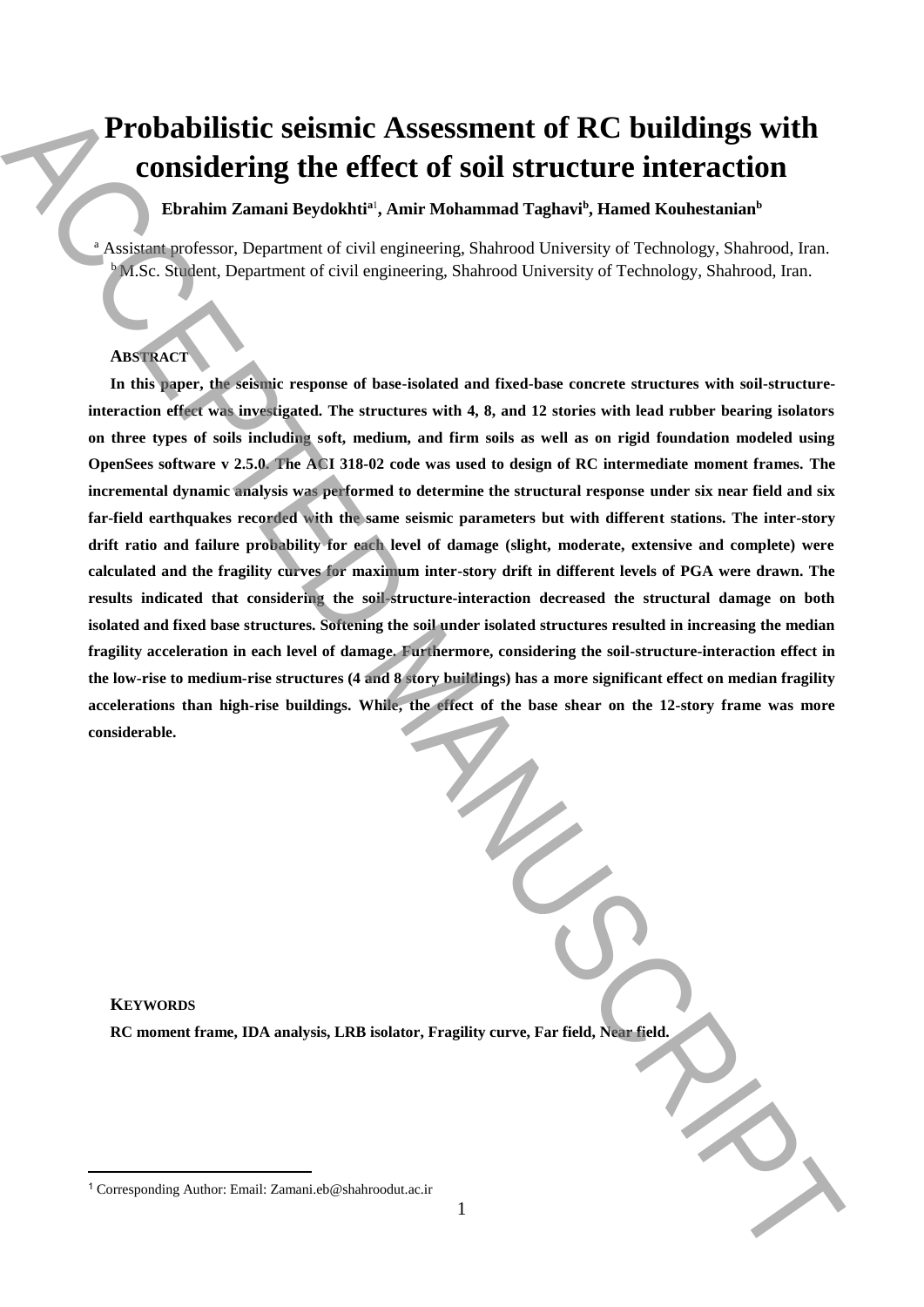# **Probabilistic seismic Assessment of RC buildings with considering the effect of soil structure interaction**

**Ebrahim Zamani Beydokhti<sup>a</sup>**<sup>1</sup> **, Amir Mohammad Taghavi<sup>b</sup> , Hamed Kouhestanian<sup>b</sup>**

<sup>a</sup> Assistant professor, Department of civil engineering, Shahrood University of Technology, Shahrood, Iran. <sup>b</sup>M.Sc. Student, Department of civil engineering, Shahrood University of Technology, Shahrood, Iran.

# **ABSTRACT**

**In this paper, the seismic response of base-isolated and fixed-base concrete structures with soil-structureinteraction effect was investigated. The structures with 4, 8, and 12 stories with lead rubber bearing isolators on three types of soils including soft, medium, and firm soils as well as on rigid foundation modeled using OpenSees software v 2.5.0. The ACI 318-02 code was used to design of RC intermediate moment frames. The incremental dynamic analysis was performed to determine the structural response under six near field and six far-field earthquakes recorded with the same seismic parameters but with different stations. The inter-story drift ratio and failure probability for each level of damage (slight, moderate, extensive and complete) were calculated and the fragility curves for maximum inter-story drift in different levels of PGA were drawn. The results indicated that considering the soil-structure-interaction decreased the structural damage on both isolated and fixed base structures. Softening the soil under isolated structures resulted in increasing the median fragility acceleration in each level of damage. Furthermore, considering the soil-structure-interaction effect in the low-rise to medium-rise structures (4 and 8 story buildings) has a more significant effect on median fragility accelerations than high-rise buildings. While, the effect of the base shear on the 12-story frame was more considerable. Probabilistic seismic Assessment of RC buildings with**<br>
considering the effect of soil structure interaction<br>
Ansumentes the metallical control of the building and the building and Kindle control of the metallical contro

# **KEYWORDS**

 $\overline{a}$ 

**RC moment frame, IDA analysis, LRB isolator, Fragility curve, Far field, Near field.**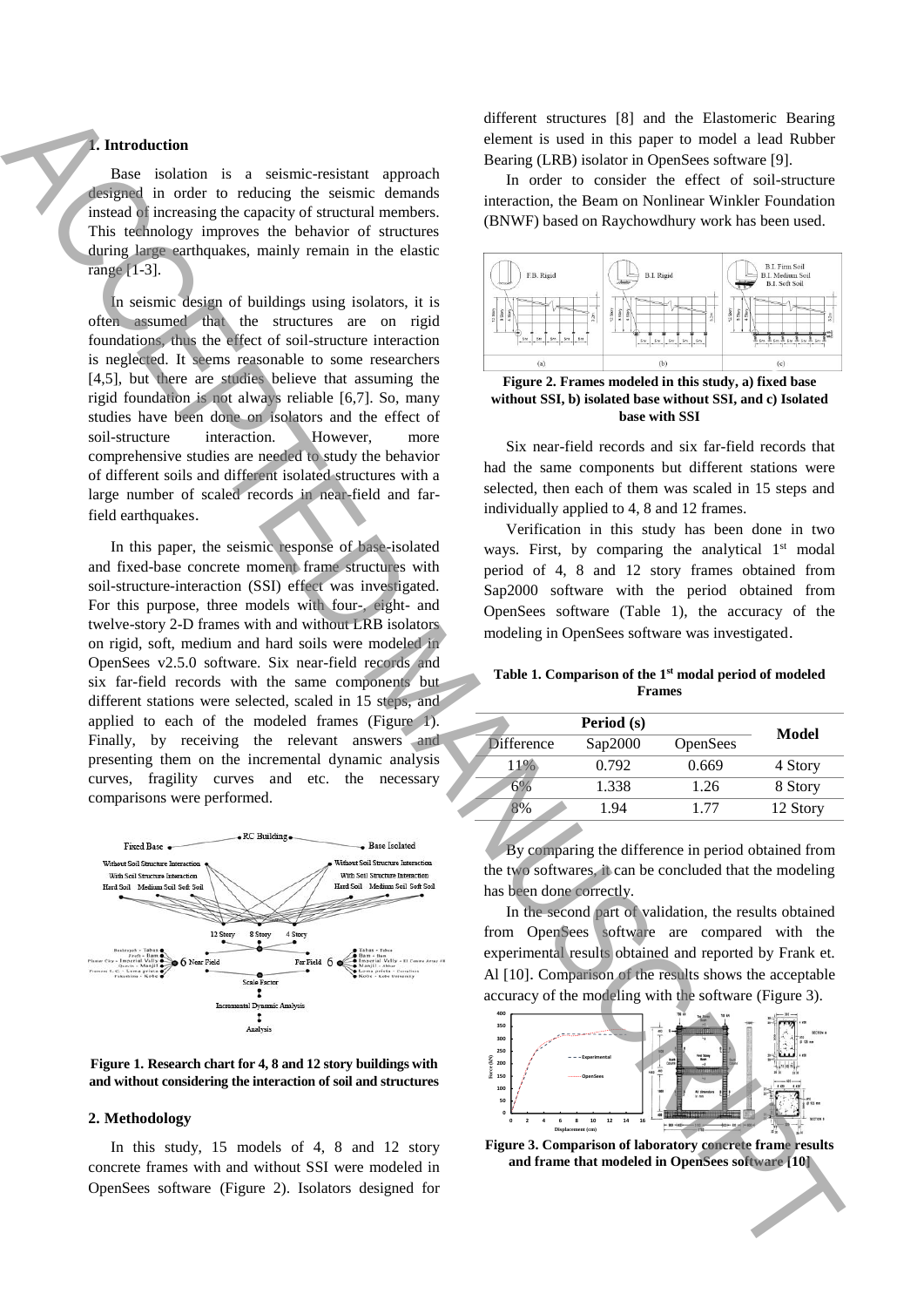# **1. Introduction**

Base isolation is a seismic-resistant approach designed in order to reducing the seismic demands instead of increasing the capacity of structural members. This technology improves the behavior of structures during large earthquakes, mainly remain in the elastic range [1-3].

In seismic design of buildings using isolators, it is often assumed that the structures are on rigid foundations, thus the effect of soil-structure interaction is neglected. It seems reasonable to some researchers [4,5], but there are studies believe that assuming the rigid foundation is not always reliable [6,7]. So, many studies have been done on isolators and the effect of soil-structure interaction. However, more comprehensive studies are needed to study the behavior of different soils and different isolated structures with a large number of scaled records in near-field and farfield earthquakes.

In this paper, the seismic response of base-isolated and fixed-base concrete moment frame structures with soil-structure-interaction (SSI) effect was investigated. For this purpose, three models with four-, eight- and twelve-story 2-D frames with and without LRB isolators on rigid, soft, medium and hard soils were modeled in OpenSees v2.5.0 software. Six near-field records and six far-field records with the same components but different stations were selected, scaled in 15 steps, and applied to each of the modeled frames (Figure 1). Finally, by receiving the relevant answers and presenting them on the incremental dynamic analysis curves, fragility curves and etc. the necessary comparisons were performed. **and frame the software of the software of the European Control in Operation Control in Operation Control in Operation Control in Operation Control in Operation Control in Operation Control in Operation Control in Operatio** 



#### **Figure 1. Research chart for 4, 8 and 12 story buildings with and without considering the interaction of soil and structures**

#### **2. Methodology**

In this study, 15 models of 4, 8 and 12 story concrete frames with and without SSI were modeled in OpenSees software (Figure 2). Isolators designed for different structures [8] and the Elastomeric Bearing element is used in this paper to model a lead Rubber Bearing (LRB) isolator in OpenSees software [9].

In order to consider the effect of soil-structure interaction, the Beam on Nonlinear Winkler Foundation (BNWF) based on Raychowdhury work has been used.



**Figure 2. Frames modeled in this study, a) fixed base without SSI, b) isolated base without SSI, and c) Isolated base with SSI**

Six near-field records and six far-field records that had the same components but different stations were selected, then each of them was scaled in 15 steps and individually applied to 4, 8 and 12 frames.

Verification in this study has been done in two ways. First, by comparing the analytical 1<sup>st</sup> modal period of 4, 8 and 12 story frames obtained from Sap2000 software with the period obtained from OpenSees software (Table 1), the accuracy of the modeling in OpenSees software was investigated.

#### **Table 1. Comparison of the 1 st modal period of modeled Frames**

| Period (s)        |         | Model           |          |
|-------------------|---------|-----------------|----------|
| <b>Difference</b> | Sap2000 | <b>OpenSees</b> |          |
| 11%               | 0.792   | 0.669           | 4 Story  |
|                   | 1.338   | 1.26            | 8 Story  |
|                   | 1.94    | 177             | 12 Story |
|                   |         |                 |          |

By comparing the difference in period obtained from the two softwares, it can be concluded that the modeling has been done correctly.

In the second part of validation, the results obtained from OpenSees software are compared with the experimental results obtained and reported by Frank et. Al [10]. Comparison of the results shows the acceptable accuracy of the modeling with the software (Figure 3).